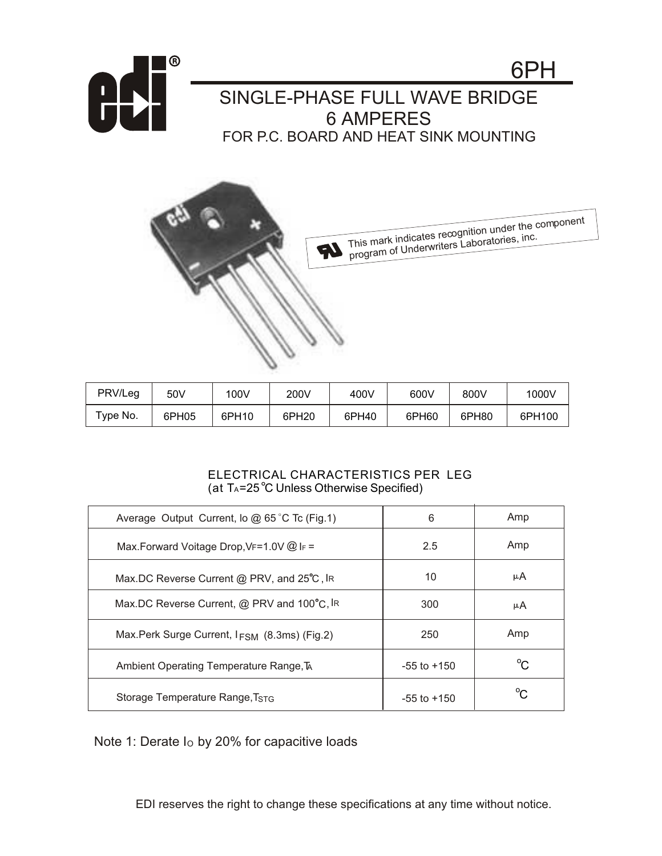



| PRV/Leg  | 50V   | 100V  | 200V  | 400V  | 600V  | 800V  | 1000V  |
|----------|-------|-------|-------|-------|-------|-------|--------|
| Type No. | 6PH05 | 6PH10 | 6PH20 | 6PH40 | 6PH60 | 6PH80 | 6PH100 |

## ELECTRICAL CHARACTERISTICS PER LEG (at  $T_A = 25^\circ \text{C}$  Unless Otherwise Specified)

| Average Output Current, lo $@$ 65 °C Tc (Fig.1) | 6               | Amp |
|-------------------------------------------------|-----------------|-----|
| Max.Forward Voitage Drop, VF=1.0V @ IF =        | 2.5             | Amp |
| Max.DC Reverse Current @ PRV, and 25°C, IR      | 10              | μA  |
| Max.DC Reverse Current, @ PRV and 100°C, IR     | 300             | μA  |
| Max.Perk Surge Current, IFSM (8.3ms) (Fig.2)    | 250             | Amp |
| Ambient Operating Temperature Range, TA         | $-55$ to $+150$ | °C. |
| Storage Temperature Range, TSTG                 | $-55$ to $+150$ | ∽   |

Note 1: Derate Io by 20% for capacitive loads

EDI reserves the right to change these specifications at any time without notice.